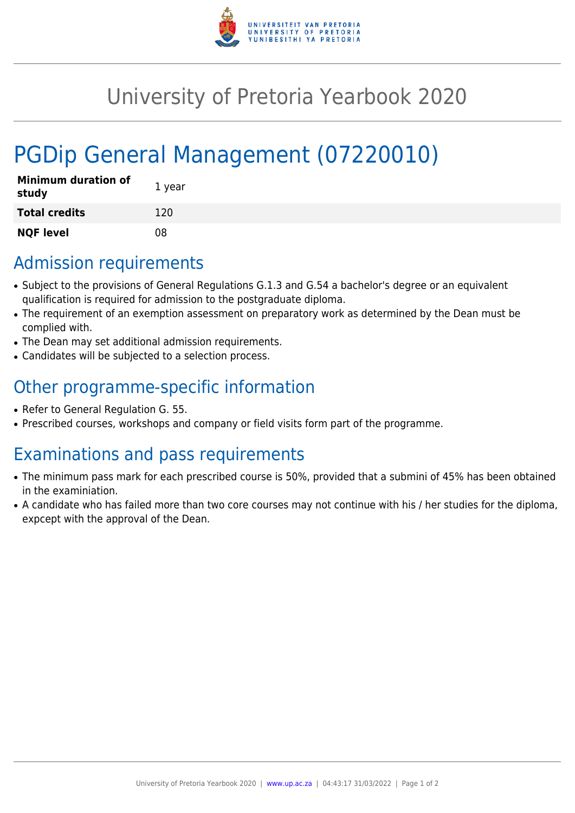

## University of Pretoria Yearbook 2020

# PGDip General Management (07220010)

| <b>Minimum duration of</b><br>study | 1 year |
|-------------------------------------|--------|
| <b>Total credits</b>                | 120    |
| <b>NQF level</b>                    | 08     |

#### Admission requirements

- Subject to the provisions of General Regulations G.1.3 and G.54 a bachelor's degree or an equivalent qualification is required for admission to the postgraduate diploma.
- The requirement of an exemption assessment on preparatory work as determined by the Dean must be complied with.
- The Dean may set additional admission requirements.
- Candidates will be subjected to a selection process.

### Other programme-specific information

- Refer to General Regulation G. 55.
- Prescribed courses, workshops and company or field visits form part of the programme.

### Examinations and pass requirements

- The minimum pass mark for each prescribed course is 50%, provided that a submini of 45% has been obtained in the examiniation.
- A candidate who has failed more than two core courses may not continue with his / her studies for the diploma, expcept with the approval of the Dean.